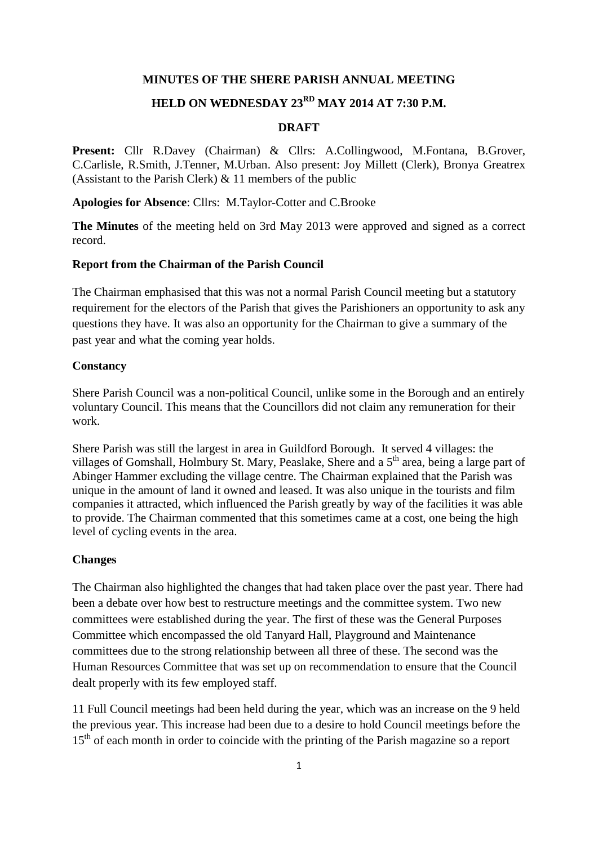### **MINUTES OF THE SHERE PARISH ANNUAL MEETING**

# **HELD ON WEDNESDAY 23RD MAY 2014 AT 7:30 P.M.**

### **DRAFT**

Present: Cllr R.Davey (Chairman) & Cllrs: A.Collingwood, M.Fontana, B.Grover, C.Carlisle, R.Smith, J.Tenner, M.Urban. Also present: Joy Millett (Clerk), Bronya Greatrex (Assistant to the Parish Clerk) & 11 members of the public

**Apologies for Absence**: Cllrs: M.Taylor-Cotter and C.Brooke

**The Minutes** of the meeting held on 3rd May 2013 were approved and signed as a correct record.

### **Report from the Chairman of the Parish Council**

The Chairman emphasised that this was not a normal Parish Council meeting but a statutory requirement for the electors of the Parish that gives the Parishioners an opportunity to ask any questions they have. It was also an opportunity for the Chairman to give a summary of the past year and what the coming year holds.

#### **Constancy**

Shere Parish Council was a non-political Council, unlike some in the Borough and an entirely voluntary Council. This means that the Councillors did not claim any remuneration for their work.

Shere Parish was still the largest in area in Guildford Borough. It served 4 villages: the villages of Gomshall, Holmbury St. Mary, Peaslake, Shere and a 5<sup>th</sup> area, being a large part of Abinger Hammer excluding the village centre. The Chairman explained that the Parish was unique in the amount of land it owned and leased. It was also unique in the tourists and film companies it attracted, which influenced the Parish greatly by way of the facilities it was able to provide. The Chairman commented that this sometimes came at a cost, one being the high level of cycling events in the area.

#### **Changes**

The Chairman also highlighted the changes that had taken place over the past year. There had been a debate over how best to restructure meetings and the committee system. Two new committees were established during the year. The first of these was the General Purposes Committee which encompassed the old Tanyard Hall, Playground and Maintenance committees due to the strong relationship between all three of these. The second was the Human Resources Committee that was set up on recommendation to ensure that the Council dealt properly with its few employed staff.

11 Full Council meetings had been held during the year, which was an increase on the 9 held the previous year. This increase had been due to a desire to hold Council meetings before the 15<sup>th</sup> of each month in order to coincide with the printing of the Parish magazine so a report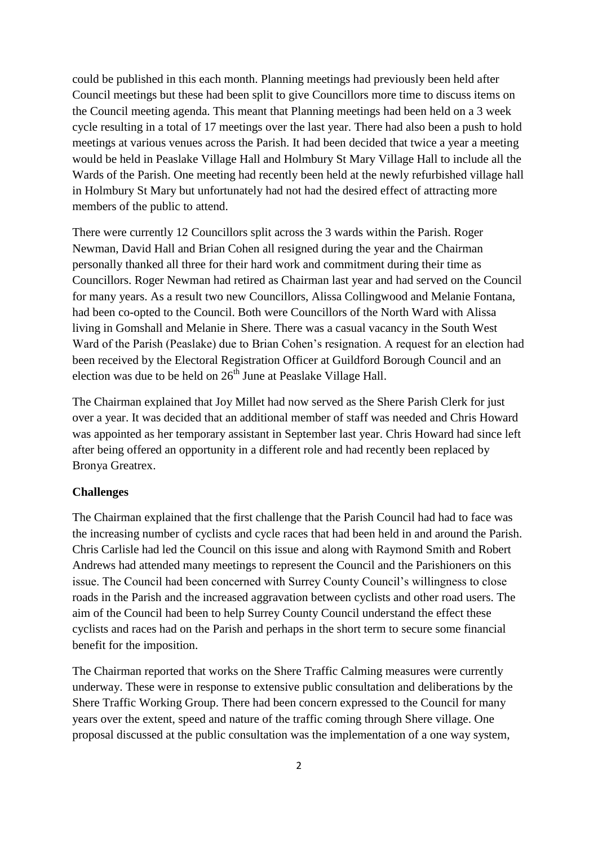could be published in this each month. Planning meetings had previously been held after Council meetings but these had been split to give Councillors more time to discuss items on the Council meeting agenda. This meant that Planning meetings had been held on a 3 week cycle resulting in a total of 17 meetings over the last year. There had also been a push to hold meetings at various venues across the Parish. It had been decided that twice a year a meeting would be held in Peaslake Village Hall and Holmbury St Mary Village Hall to include all the Wards of the Parish. One meeting had recently been held at the newly refurbished village hall in Holmbury St Mary but unfortunately had not had the desired effect of attracting more members of the public to attend.

There were currently 12 Councillors split across the 3 wards within the Parish. Roger Newman, David Hall and Brian Cohen all resigned during the year and the Chairman personally thanked all three for their hard work and commitment during their time as Councillors. Roger Newman had retired as Chairman last year and had served on the Council for many years. As a result two new Councillors, Alissa Collingwood and Melanie Fontana, had been co-opted to the Council. Both were Councillors of the North Ward with Alissa living in Gomshall and Melanie in Shere. There was a casual vacancy in the South West Ward of the Parish (Peaslake) due to Brian Cohen's resignation. A request for an election had been received by the Electoral Registration Officer at Guildford Borough Council and an election was due to be held on  $26<sup>th</sup>$  June at Peaslake Village Hall.

The Chairman explained that Joy Millet had now served as the Shere Parish Clerk for just over a year. It was decided that an additional member of staff was needed and Chris Howard was appointed as her temporary assistant in September last year. Chris Howard had since left after being offered an opportunity in a different role and had recently been replaced by Bronya Greatrex.

### **Challenges**

The Chairman explained that the first challenge that the Parish Council had had to face was the increasing number of cyclists and cycle races that had been held in and around the Parish. Chris Carlisle had led the Council on this issue and along with Raymond Smith and Robert Andrews had attended many meetings to represent the Council and the Parishioners on this issue. The Council had been concerned with Surrey County Council's willingness to close roads in the Parish and the increased aggravation between cyclists and other road users. The aim of the Council had been to help Surrey County Council understand the effect these cyclists and races had on the Parish and perhaps in the short term to secure some financial benefit for the imposition.

The Chairman reported that works on the Shere Traffic Calming measures were currently underway. These were in response to extensive public consultation and deliberations by the Shere Traffic Working Group. There had been concern expressed to the Council for many years over the extent, speed and nature of the traffic coming through Shere village. One proposal discussed at the public consultation was the implementation of a one way system,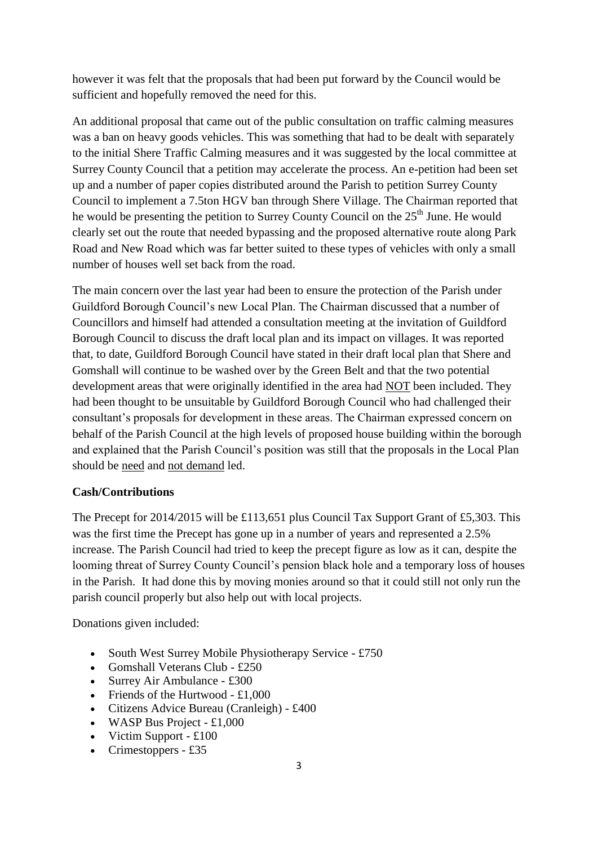however it was felt that the proposals that had been put forward by the Council would be sufficient and hopefully removed the need for this.

An additional proposal that came out of the public consultation on traffic calming measures was a ban on heavy goods vehicles. This was something that had to be dealt with separately to the initial Shere Traffic Calming measures and it was suggested by the local committee at Surrey County Council that a petition may accelerate the process. An e-petition had been set up and a number of paper copies distributed around the Parish to petition Surrey County Council to implement a 7.5ton HGV ban through Shere Village. The Chairman reported that he would be presenting the petition to Surrey County Council on the  $25<sup>th</sup>$  June. He would clearly set out the route that needed bypassing and the proposed alternative route along Park Road and New Road which was far better suited to these types of vehicles with only a small number of houses well set back from the road.

The main concern over the last year had been to ensure the protection of the Parish under Guildford Borough Council's new Local Plan. The Chairman discussed that a number of Councillors and himself had attended a consultation meeting at the invitation of Guildford Borough Council to discuss the draft local plan and its impact on villages. It was reported that, to date, Guildford Borough Council have stated in their draft local plan that Shere and Gomshall will continue to be washed over by the Green Belt and that the two potential development areas that were originally identified in the area had NOT been included. They had been thought to be unsuitable by Guildford Borough Council who had challenged their consultant's proposals for development in these areas. The Chairman expressed concern on behalf of the Parish Council at the high levels of proposed house building within the borough and explained that the Parish Council's position was still that the proposals in the Local Plan should be need and not demand led.

# **Cash/Contributions**

The Precept for 2014/2015 will be £113,651 plus Council Tax Support Grant of £5,303. This was the first time the Precept has gone up in a number of years and represented a 2.5% increase. The Parish Council had tried to keep the precept figure as low as it can, despite the looming threat of Surrey County Council's pension black hole and a temporary loss of houses in the Parish. It had done this by moving monies around so that it could still not only run the parish council properly but also help out with local projects.

Donations given included:

- South West Surrey Mobile Physiotherapy Service £750
- Gomshall Veterans Club £250
- Surrey Air Ambulance £300
- Friends of the Hurtwood  $£1,000$
- Citizens Advice Bureau (Cranleigh) £400
- $\bullet$  WASP Bus Project £1,000
- Victim Support  $£100$
- Crimestoppers  $£35$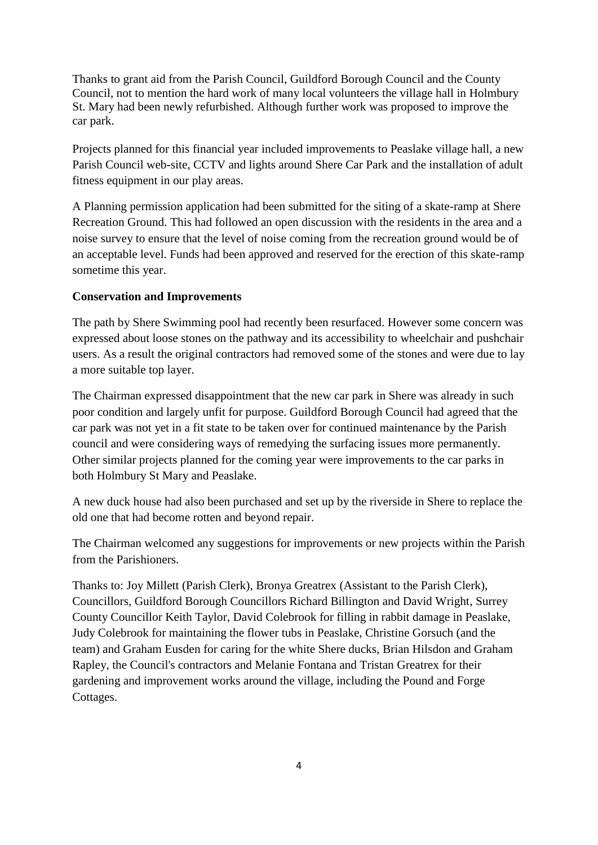Thanks to grant aid from the Parish Council, Guildford Borough Council and the County Council, not to mention the hard work of many local volunteers the village hall in Holmbury St. Mary had been newly refurbished. Although further work was proposed to improve the car park.

Projects planned for this financial year included improvements to Peaslake village hall, a new Parish Council web-site, CCTV and lights around Shere Car Park and the installation of adult fitness equipment in our play areas.

A Planning permission application had been submitted for the siting of a skate-ramp at Shere Recreation Ground. This had followed an open discussion with the residents in the area and a noise survey to ensure that the level of noise coming from the recreation ground would be of an acceptable level. Funds had been approved and reserved for the erection of this skate-ramp sometime this year.

# **Conservation and Improvements**

The path by Shere Swimming pool had recently been resurfaced. However some concern was expressed about loose stones on the pathway and its accessibility to wheelchair and pushchair users. As a result the original contractors had removed some of the stones and were due to lay a more suitable top layer.

The Chairman expressed disappointment that the new car park in Shere was already in such poor condition and largely unfit for purpose. Guildford Borough Council had agreed that the car park was not yet in a fit state to be taken over for continued maintenance by the Parish council and were considering ways of remedying the surfacing issues more permanently. Other similar projects planned for the coming year were improvements to the car parks in both Holmbury St Mary and Peaslake.

A new duck house had also been purchased and set up by the riverside in Shere to replace the old one that had become rotten and beyond repair.

The Chairman welcomed any suggestions for improvements or new projects within the Parish from the Parishioners.

Thanks to: Joy Millett (Parish Clerk), Bronya Greatrex (Assistant to the Parish Clerk), Councillors, Guildford Borough Councillors Richard Billington and David Wright, Surrey County Councillor Keith Taylor, David Colebrook for filling in rabbit damage in Peaslake, Judy Colebrook for maintaining the flower tubs in Peaslake, Christine Gorsuch (and the team) and Graham Eusden for caring for the white Shere ducks, Brian Hilsdon and Graham Rapley, the Council's contractors and Melanie Fontana and Tristan Greatrex for their gardening and improvement works around the village, including the Pound and Forge Cottages.